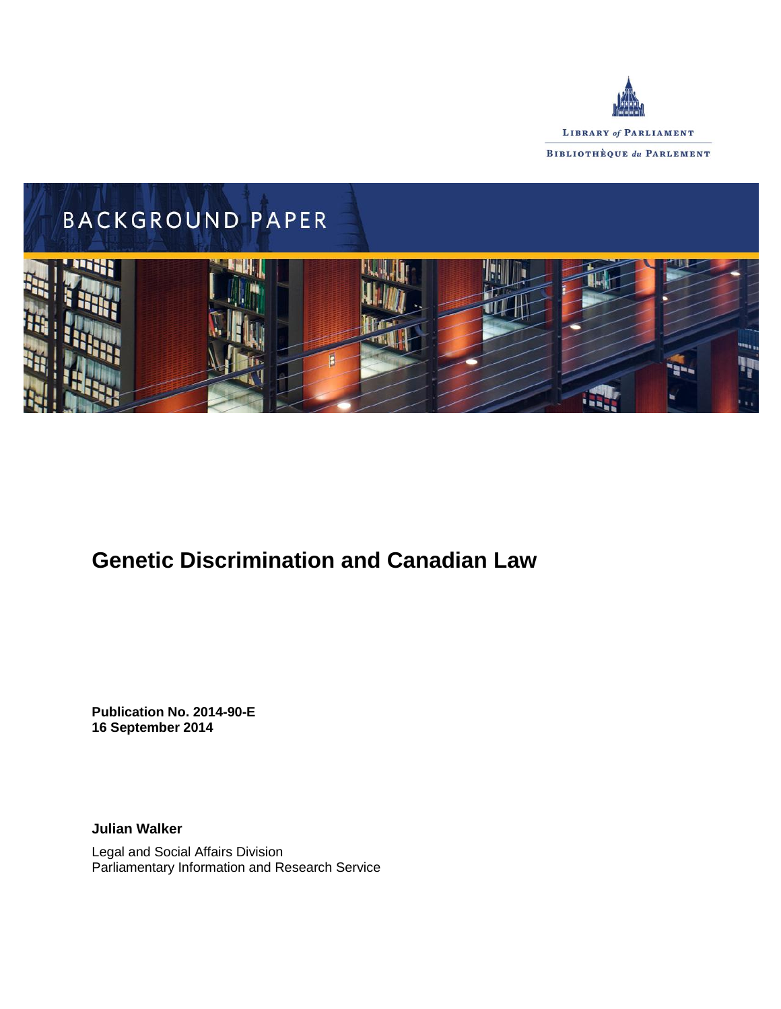



# **Genetic Discrimination and Canadian Law**

**Publication No. 2014-90-E 16 September 2014**

**Julian Walker**

Legal and Social Affairs Division Parliamentary Information and Research Service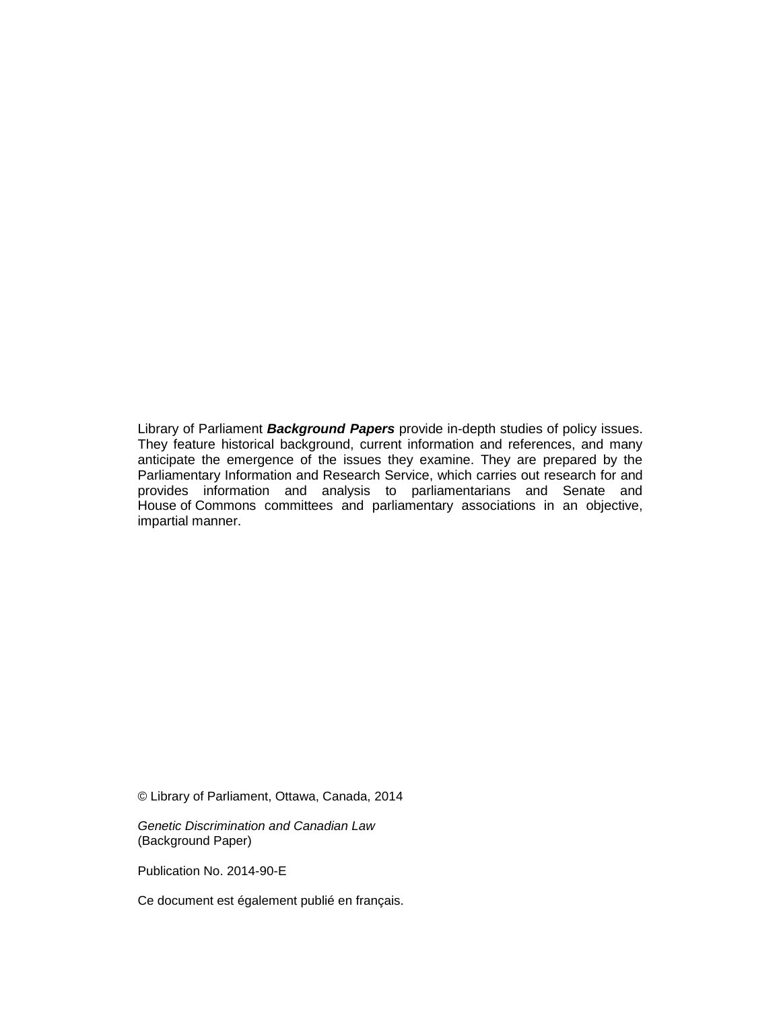Library of Parliament *Background Papers* provide in-depth studies of policy issues. They feature historical background, current information and references, and many anticipate the emergence of the issues they examine. They are prepared by the Parliamentary Information and Research Service, which carries out research for and provides information and analysis to parliamentarians and Senate and House of Commons committees and parliamentary associations in an objective, impartial manner.

© Library of Parliament, Ottawa, Canada, 2014

*Genetic Discrimination and Canadian Law* (Background Paper)

Publication No. 2014-90-E

Ce document est également publié en français.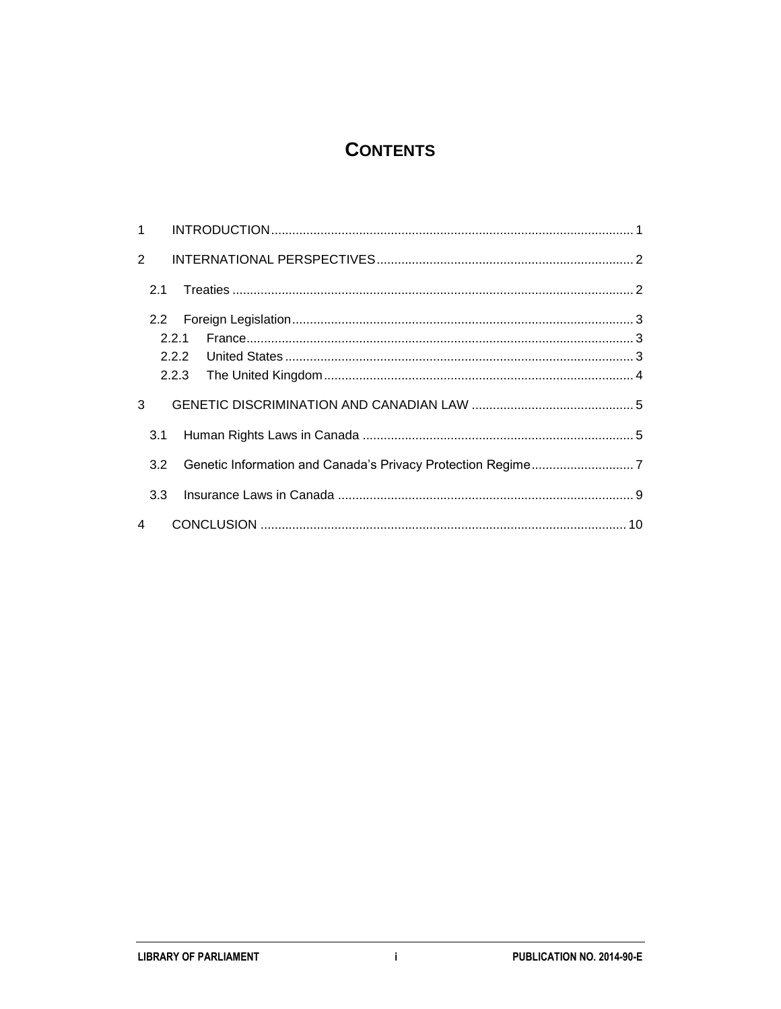# **CONTENTS**

| $\mathbf{1}$   |     |       |  |
|----------------|-----|-------|--|
| $\overline{2}$ |     |       |  |
|                | 2.1 |       |  |
|                | 2.2 |       |  |
|                |     | 2.2.1 |  |
|                |     |       |  |
|                |     |       |  |
| 3              |     |       |  |
|                | 3.1 |       |  |
|                | 3.2 |       |  |
|                | 3.3 |       |  |
| 4              |     |       |  |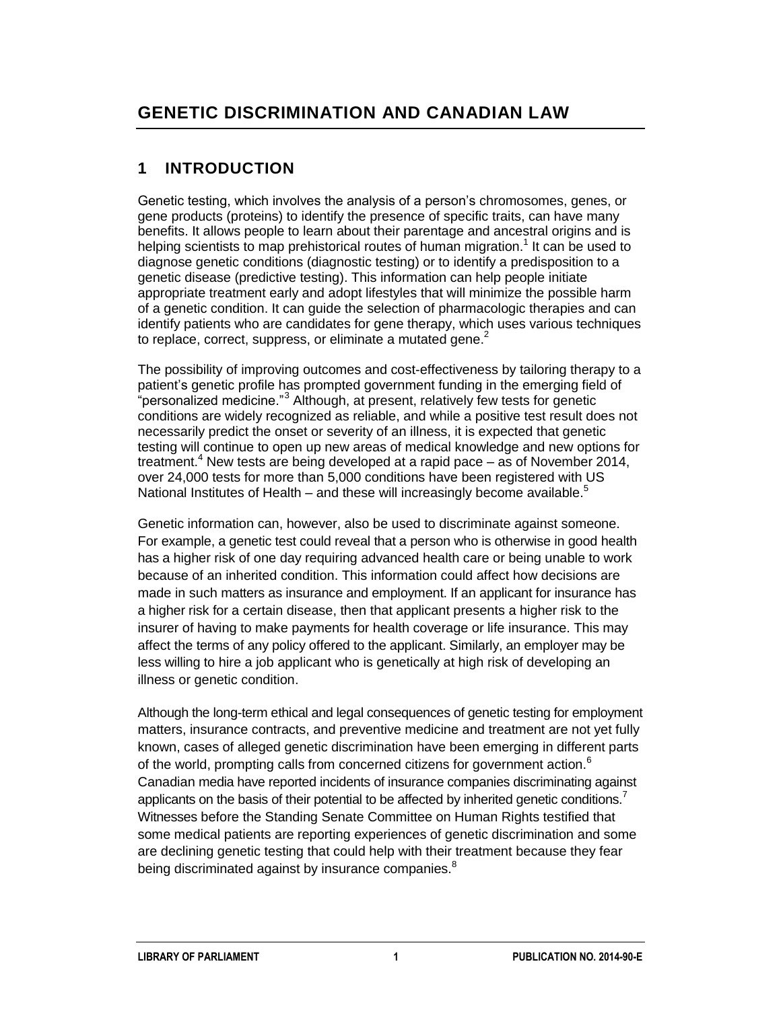# **1 INTRODUCTION**

Genetic testing, which involves the analysis of a person's chromosomes, genes, or gene products (proteins) to identify the presence of specific traits, can have many benefits. It allows people to learn about their parentage and ancestral origins and is helping scientists to map prehistorical routes of human migration.<sup>1</sup> It can be used to diagnose genetic conditions (diagnostic testing) or to identify a predisposition to a genetic disease (predictive testing). This information can help people initiate appropriate treatment early and adopt lifestyles that will minimize the possible harm of a genetic condition. It can guide the selection of pharmacologic therapies and can identify patients who are candidates for gene therapy, which uses various techniques to replace, correct, suppress, or eliminate a mutated gene.<sup>2</sup>

The possibility of improving outcomes and cost-effectiveness by tailoring therapy to a patient's genetic profile has prompted government funding in the emerging field of "personalized medicine."<sup>3</sup> Although, at present, relatively few tests for genetic conditions are widely recognized as reliable, and while a positive test result does not necessarily predict the onset or severity of an illness, it is expected that genetic testing will continue to open up new areas of medical knowledge and new options for treatment.<sup>4</sup> New tests are being developed at a rapid pace  $-$  as of November 2014, over 24,000 tests for more than 5,000 conditions have been registered with US National Institutes of Health – and these will increasingly become available.<sup>5</sup>

Genetic information can, however, also be used to discriminate against someone. For example, a genetic test could reveal that a person who is otherwise in good health has a higher risk of one day requiring advanced health care or being unable to work because of an inherited condition. This information could affect how decisions are made in such matters as insurance and employment. If an applicant for insurance has a higher risk for a certain disease, then that applicant presents a higher risk to the insurer of having to make payments for health coverage or life insurance. This may affect the terms of any policy offered to the applicant. Similarly, an employer may be less willing to hire a job applicant who is genetically at high risk of developing an illness or genetic condition.

Although the long-term ethical and legal consequences of genetic testing for employment matters, insurance contracts, and preventive medicine and treatment are not yet fully known, cases of alleged genetic discrimination have been emerging in different parts of the world, prompting calls from concerned citizens for government action. $<sup>6</sup>$ </sup> Canadian media have reported incidents of insurance companies discriminating against applicants on the basis of their potential to be affected by inherited genetic conditions.<sup>7</sup> Witnesses before the Standing Senate Committee on Human Rights testified that some medical patients are reporting experiences of genetic discrimination and some are declining genetic testing that could help with their treatment because they fear being discriminated against by insurance companies.<sup>8</sup>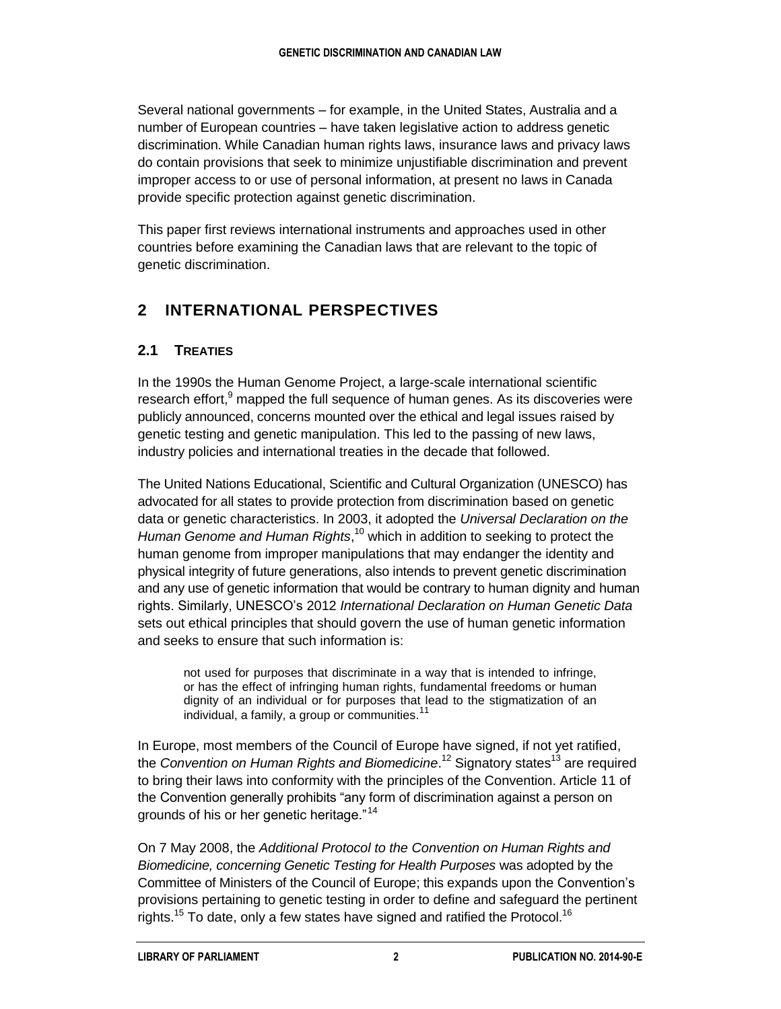Several national governments – for example, in the United States, Australia and a number of European countries – have taken legislative action to address genetic discrimination. While Canadian human rights laws, insurance laws and privacy laws do contain provisions that seek to minimize unjustifiable discrimination and prevent improper access to or use of personal information, at present no laws in Canada provide specific protection against genetic discrimination.

This paper first reviews international instruments and approaches used in other countries before examining the Canadian laws that are relevant to the topic of genetic discrimination.

# **2 INTERNATIONAL PERSPECTIVES**

### **2.1 TREATIES**

In the 1990s the Human Genome Project, a large-scale international scientific research effort, <sup>9</sup> mapped the full sequence of human genes. As its discoveries were publicly announced, concerns mounted over the ethical and legal issues raised by genetic testing and genetic manipulation. This led to the passing of new laws, industry policies and international treaties in the decade that followed.

The United Nations Educational, Scientific and Cultural Organization (UNESCO) has advocated for all states to provide protection from discrimination based on genetic data or genetic characteristics. In 2003, it adopted the *Universal Declaration on the Human Genome and Human Rights*, <sup>10</sup> which in addition to seeking to protect the human genome from improper manipulations that may endanger the identity and physical integrity of future generations, also intends to prevent genetic discrimination and any use of genetic information that would be contrary to human dignity and human rights. Similarly, UNESCO's 2012 *International Declaration on Human Genetic Data* sets out ethical principles that should govern the use of human genetic information and seeks to ensure that such information is:

not used for purposes that discriminate in a way that is intended to infringe, or has the effect of infringing human rights, fundamental freedoms or human dignity of an individual or for purposes that lead to the stigmatization of an individual, a family, a group or communities.<sup>1</sup>

In Europe, most members of the Council of Europe have signed, if not yet ratified, the *Convention on Human Rights and Biomedicine*.<sup>12</sup> Signatory states<sup>13</sup> are required to bring their laws into conformity with the principles of the Convention. Article 11 of the Convention generally prohibits "any form of discrimination against a person on grounds of his or her genetic heritage."<sup>14</sup>

On 7 May 2008, the *Additional Protocol to the Convention on Human Rights and Biomedicine, concerning Genetic Testing for Health Purposes* was adopted by the Committee of Ministers of the Council of Europe; this expands upon the Convention's provisions pertaining to genetic testing in order to define and safeguard the pertinent rights.<sup>15</sup> To date, only a few states have signed and ratified the Protocol.<sup>16</sup>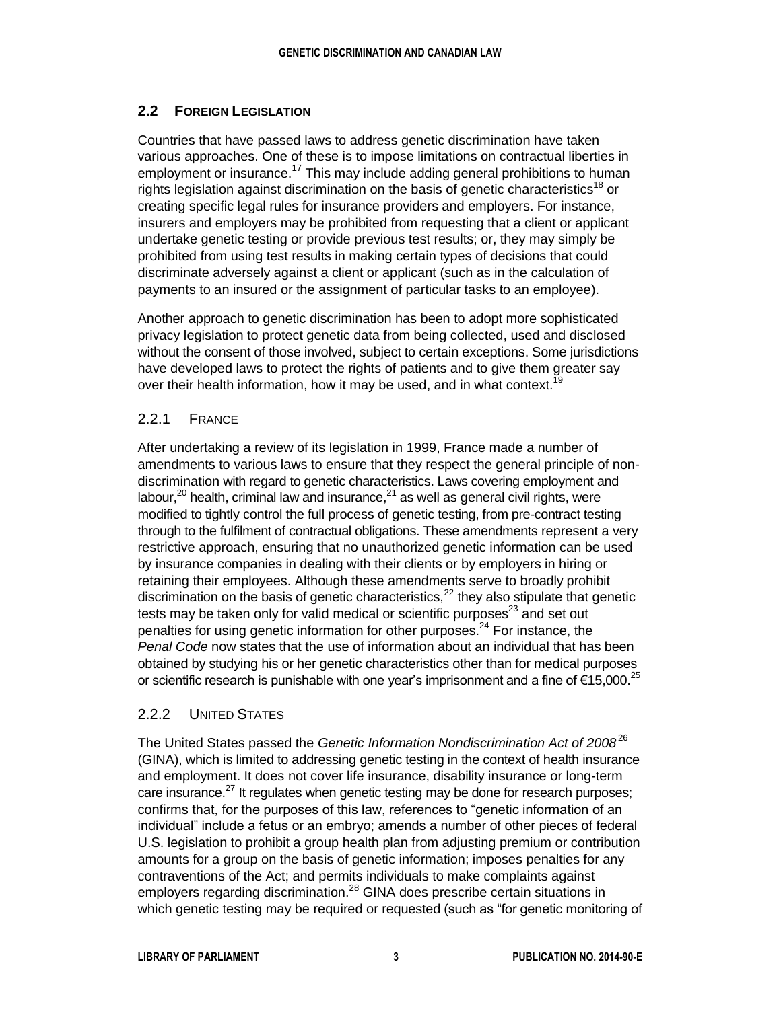#### **2.2 FOREIGN LEGISLATION**

Countries that have passed laws to address genetic discrimination have taken various approaches. One of these is to impose limitations on contractual liberties in employment or insurance.<sup>17</sup> This may include adding general prohibitions to human rights legislation against discrimination on the basis of genetic characteristics<sup>18</sup> or creating specific legal rules for insurance providers and employers. For instance, insurers and employers may be prohibited from requesting that a client or applicant undertake genetic testing or provide previous test results; or, they may simply be prohibited from using test results in making certain types of decisions that could discriminate adversely against a client or applicant (such as in the calculation of payments to an insured or the assignment of particular tasks to an employee).

Another approach to genetic discrimination has been to adopt more sophisticated privacy legislation to protect genetic data from being collected, used and disclosed without the consent of those involved, subject to certain exceptions. Some jurisdictions have developed laws to protect the rights of patients and to give them greater say over their health information, how it may be used, and in what context.<sup>1</sup>

#### 2.2.1 FRANCE

After undertaking a review of its legislation in 1999, France made a number of amendments to various laws to ensure that they respect the general principle of nondiscrimination with regard to genetic characteristics. Laws covering employment and labour, $^{20}$  health, criminal law and insurance, $^{21}$  as well as general civil rights, were modified to tightly control the full process of genetic testing, from pre-contract testing through to the fulfilment of contractual obligations. These amendments represent a very restrictive approach, ensuring that no unauthorized genetic information can be used by insurance companies in dealing with their clients or by employers in hiring or retaining their employees. Although these amendments serve to broadly prohibit discrimination on the basis of genetic characteristics,  $^{22}$  they also stipulate that genetic tests may be taken only for valid medical or scientific purposes $^{23}$  and set out penalties for using genetic information for other purposes. $24$  For instance, the *Penal Code* now states that the use of information about an individual that has been obtained by studying his or her genetic characteristics other than for medical purposes or scientific research is punishable with one year's imprisonment and a fine of  $\epsilon$ 15,000.<sup>25</sup>

#### 2.2.2 UNITED STATES

The United States passed the *Genetic Information Nondiscrimination Act of 2008*<sup>26</sup> (GINA), which is limited to addressing genetic testing in the context of health insurance and employment. It does not cover life insurance, disability insurance or long-term care insurance. $^{27}$  It regulates when genetic testing may be done for research purposes; confirms that, for the purposes of this law, references to "genetic information of an individual" include a fetus or an embryo; amends a number of other pieces of federal U.S. legislation to prohibit a group health plan from adjusting premium or contribution amounts for a group on the basis of genetic information; imposes penalties for any contraventions of the Act; and permits individuals to make complaints against employers regarding discrimination.<sup>28</sup> GINA does prescribe certain situations in which genetic testing may be required or requested (such as "for genetic monitoring of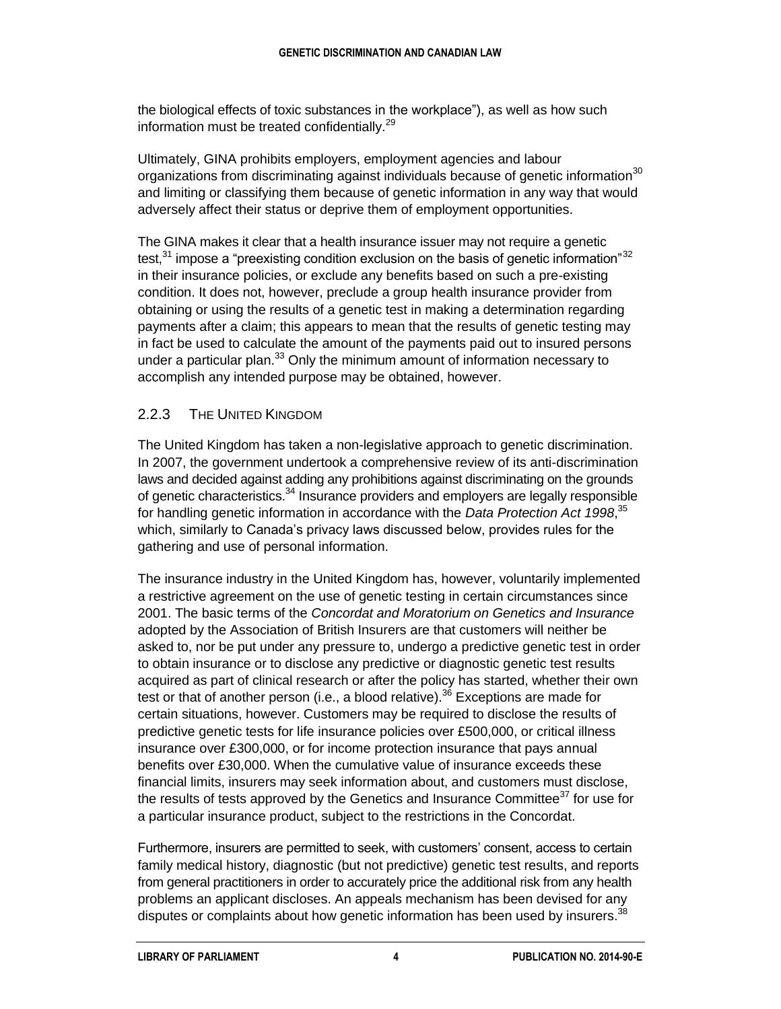the biological effects of toxic substances in the workplace"), as well as how such information must be treated confidentially.<sup>29</sup>

Ultimately, GINA prohibits employers, employment agencies and labour organizations from discriminating against individuals because of genetic information $30$ and limiting or classifying them because of genetic information in any way that would adversely affect their status or deprive them of employment opportunities.

The GINA makes it clear that a health insurance issuer may not require a genetic test,  $31$  impose a "preexisting condition exclusion on the basis of genetic information"  $32$ in their insurance policies, or exclude any benefits based on such a pre-existing condition. It does not, however, preclude a group health insurance provider from obtaining or using the results of a genetic test in making a determination regarding payments after a claim; this appears to mean that the results of genetic testing may in fact be used to calculate the amount of the payments paid out to insured persons under a particular plan. $^{33}$  Only the minimum amount of information necessary to accomplish any intended purpose may be obtained, however.

#### 2.2.3 THE UNITED KINGDOM

The United Kingdom has taken a non-legislative approach to genetic discrimination. In 2007, the government undertook a comprehensive review of its anti-discrimination laws and decided against adding any prohibitions against discriminating on the grounds of genetic characteristics.<sup>34</sup> Insurance providers and employers are legally responsible for handling genetic information in accordance with the *Data Protection Act 1998*,<sup>35</sup> which, similarly to Canada's privacy laws discussed below, provides rules for the gathering and use of personal information.

The insurance industry in the United Kingdom has, however, voluntarily implemented a restrictive agreement on the use of genetic testing in certain circumstances since 2001. The basic terms of the *Concordat and Moratorium on Genetics and Insurance* adopted by the Association of British Insurers are that customers will neither be asked to, nor be put under any pressure to, undergo a predictive genetic test in order to obtain insurance or to disclose any predictive or diagnostic genetic test results acquired as part of clinical research or after the policy has started, whether their own test or that of another person (i.e., a blood relative).<sup>36</sup> Exceptions are made for certain situations, however. Customers may be required to disclose the results of predictive genetic tests for life insurance policies over £500,000, or critical illness insurance over £300,000, or for income protection insurance that pays annual benefits over £30,000. When the cumulative value of insurance exceeds these financial limits, insurers may seek information about, and customers must disclose, the results of tests approved by the Genetics and Insurance Committee $37$  for use for a particular insurance product, subject to the restrictions in the Concordat.

Furthermore, insurers are permitted to seek, with customers' consent, access to certain family medical history, diagnostic (but not predictive) genetic test results, and reports from general practitioners in order to accurately price the additional risk from any health problems an applicant discloses. An appeals mechanism has been devised for any disputes or complaints about how genetic information has been used by insurers.<sup>38</sup>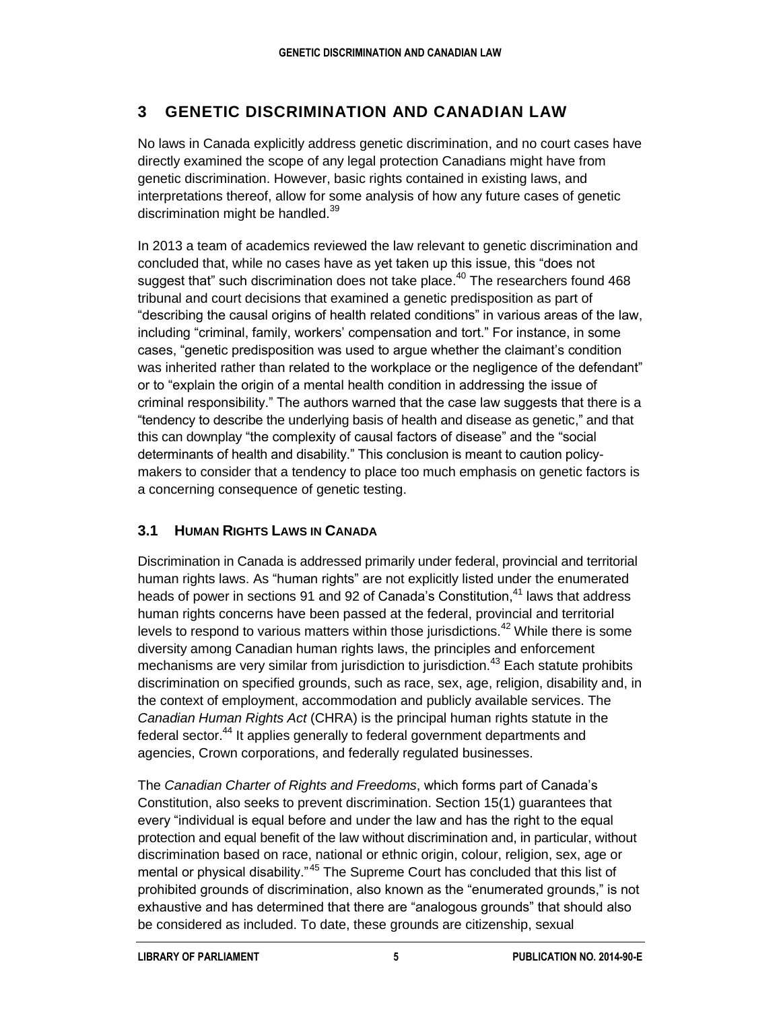# **3 GENETIC DISCRIMINATION AND CANADIAN LAW**

No laws in Canada explicitly address genetic discrimination, and no court cases have directly examined the scope of any legal protection Canadians might have from genetic discrimination. However, basic rights contained in existing laws, and interpretations thereof, allow for some analysis of how any future cases of genetic discrimination might be handled.<sup>39</sup>

In 2013 a team of academics reviewed the law relevant to genetic discrimination and concluded that, while no cases have as yet taken up this issue, this "does not suggest that" such discrimination does not take place. $40$  The researchers found 468 tribunal and court decisions that examined a genetic predisposition as part of "describing the causal origins of health related conditions" in various areas of the law, including "criminal, family, workers' compensation and tort." For instance, in some cases, "genetic predisposition was used to argue whether the claimant's condition was inherited rather than related to the workplace or the negligence of the defendant" or to "explain the origin of a mental health condition in addressing the issue of criminal responsibility." The authors warned that the case law suggests that there is a "tendency to describe the underlying basis of health and disease as genetic," and that this can downplay "the complexity of causal factors of disease" and the "social determinants of health and disability." This conclusion is meant to caution policymakers to consider that a tendency to place too much emphasis on genetic factors is a concerning consequence of genetic testing.

### **3.1 HUMAN RIGHTS LAWS IN CANADA**

Discrimination in Canada is addressed primarily under federal, provincial and territorial human rights laws. As "human rights" are not explicitly listed under the enumerated heads of power in sections 91 and 92 of Canada's Constitution,<sup>41</sup> laws that address human rights concerns have been passed at the federal, provincial and territorial levels to respond to various matters within those jurisdictions.<sup>42</sup> While there is some diversity among Canadian human rights laws, the principles and enforcement mechanisms are very similar from jurisdiction to jurisdiction.<sup>43</sup> Each statute prohibits discrimination on specified grounds, such as race, sex, age, religion, disability and, in the context of employment, accommodation and publicly available services. The *Canadian Human Rights Act* (CHRA) is the principal human rights statute in the federal sector.<sup>44</sup> It applies generally to federal government departments and agencies, Crown corporations, and federally regulated businesses.

The *Canadian Charter of Rights and Freedoms*, which forms part of Canada's Constitution, also seeks to prevent discrimination. Section 15(1) guarantees that every "individual is equal before and under the law and has the right to the equal protection and equal benefit of the law without discrimination and, in particular, without discrimination based on race, national or ethnic origin, colour, religion, sex, age or mental or physical disability."<sup>45</sup> The Supreme Court has concluded that this list of prohibited grounds of discrimination, also known as the "enumerated grounds," is not exhaustive and has determined that there are "analogous grounds" that should also be considered as included. To date, these grounds are citizenship, sexual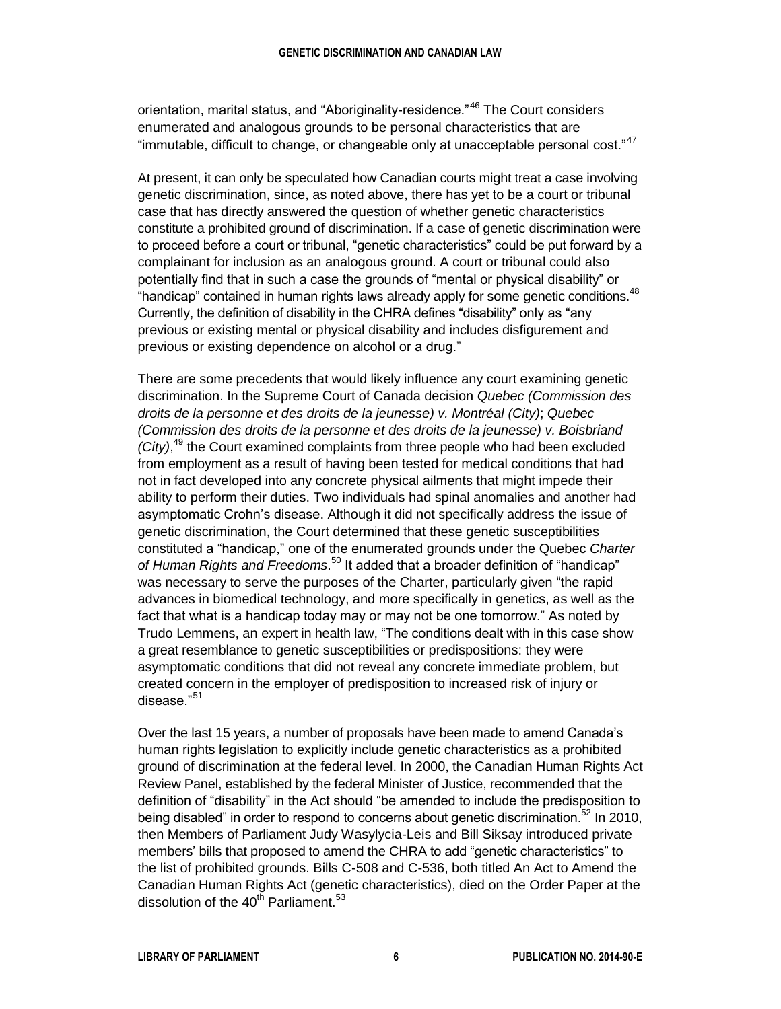orientation, marital status, and "Aboriginality-residence."<sup>46</sup> The Court considers enumerated and analogous grounds to be personal characteristics that are "immutable, difficult to change, or changeable only at unacceptable personal cost."<sup>47</sup>

At present, it can only be speculated how Canadian courts might treat a case involving genetic discrimination, since, as noted above, there has yet to be a court or tribunal case that has directly answered the question of whether genetic characteristics constitute a prohibited ground of discrimination. If a case of genetic discrimination were to proceed before a court or tribunal, "genetic characteristics" could be put forward by a complainant for inclusion as an analogous ground. A court or tribunal could also potentially find that in such a case the grounds of "mental or physical disability" or "handicap" contained in human rights laws already apply for some genetic conditions.<sup>48</sup> Currently, the definition of disability in the CHRA defines "disability" only as "any previous or existing mental or physical disability and includes disfigurement and previous or existing dependence on alcohol or a drug."

There are some precedents that would likely influence any court examining genetic discrimination. In the Supreme Court of Canada decision *Quebec (Commission des droits de la personne et des droits de la jeunesse) v. Montréal (City)*; *Quebec (Commission des droits de la personne et des droits de la jeunesse) v. Boisbriand*  (City),<sup>49</sup> the Court examined complaints from three people who had been excluded from employment as a result of having been tested for medical conditions that had not in fact developed into any concrete physical ailments that might impede their ability to perform their duties. Two individuals had spinal anomalies and another had asymptomatic Crohn's disease. Although it did not specifically address the issue of genetic discrimination, the Court determined that these genetic susceptibilities constituted a "handicap," one of the enumerated grounds under the Quebec *Charter of Human Rights and Freedoms*. <sup>50</sup> It added that a broader definition of "handicap" was necessary to serve the purposes of the Charter, particularly given "the rapid advances in biomedical technology, and more specifically in genetics, as well as the fact that what is a handicap today may or may not be one tomorrow." As noted by Trudo Lemmens, an expert in health law, "The conditions dealt with in this case show a great resemblance to genetic susceptibilities or predispositions: they were asymptomatic conditions that did not reveal any concrete immediate problem, but created concern in the employer of predisposition to increased risk of injury or disease."<sup>51</sup>

Over the last 15 years, a number of proposals have been made to amend Canada's human rights legislation to explicitly include genetic characteristics as a prohibited ground of discrimination at the federal level. In 2000, the Canadian Human Rights Act Review Panel, established by the federal Minister of Justice, recommended that the definition of "disability" in the Act should "be amended to include the predisposition to being disabled" in order to respond to concerns about genetic discrimination.<sup>52</sup> In 2010. then Members of Parliament Judy Wasylycia-Leis and Bill Siksay introduced private members' bills that proposed to amend the CHRA to add "genetic characteristics" to the list of prohibited grounds. Bills C-508 and C-536, both titled An Act to Amend the Canadian Human Rights Act (genetic characteristics), died on the Order Paper at the dissolution of the  $40^{th}$  Parliament.<sup>53</sup>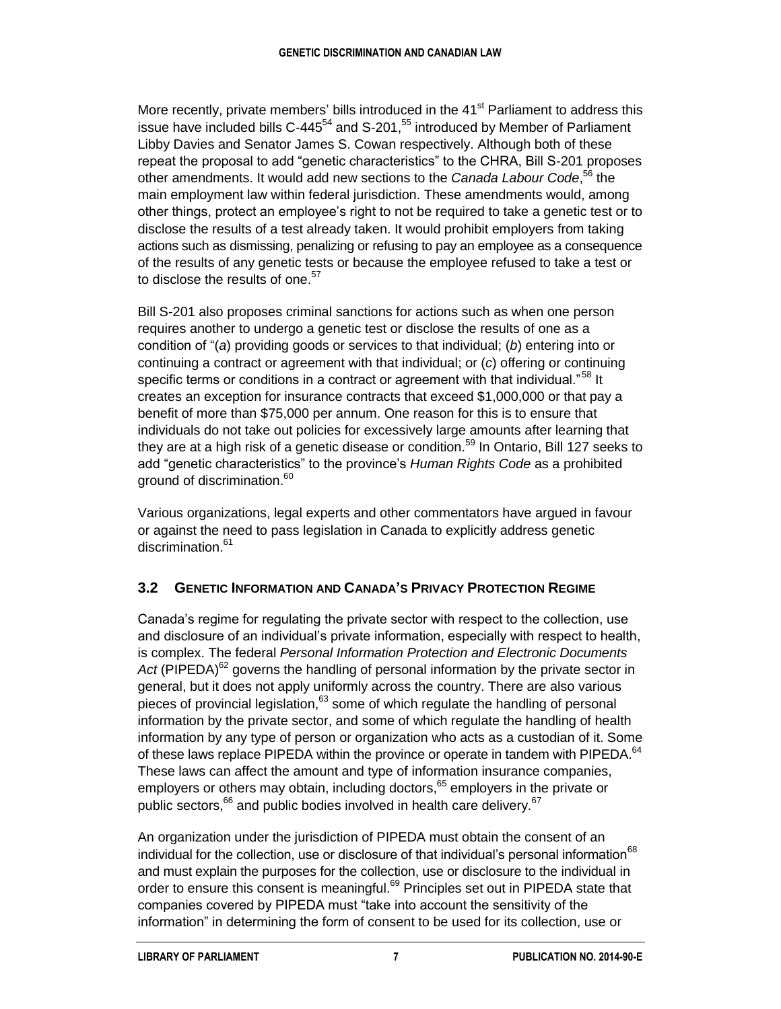More recently, private members' bills introduced in the 41<sup>st</sup> Parliament to address this issue have included bills C-445 $^{54}$  and S-201, $^{55}$  introduced by Member of Parliament Libby Davies and Senator James S. Cowan respectively. Although both of these repeat the proposal to add "genetic characteristics" to the CHRA, Bill S-201 proposes other amendments. It would add new sections to the *Canada Labour Code*, <sup>56</sup> the main employment law within federal jurisdiction. These amendments would, among other things, protect an employee's right to not be required to take a genetic test or to disclose the results of a test already taken. It would prohibit employers from taking actions such as dismissing, penalizing or refusing to pay an employee as a consequence of the results of any genetic tests or because the employee refused to take a test or to disclose the results of one.<sup>57</sup>

Bill S-201 also proposes criminal sanctions for actions such as when one person requires another to undergo a genetic test or disclose the results of one as a condition of "(*a*) providing goods or services to that individual; (*b*) entering into or continuing a contract or agreement with that individual; or (*c*) offering or continuing specific terms or conditions in a contract or agreement with that individual."<sup>58</sup> It creates an exception for insurance contracts that exceed \$1,000,000 or that pay a benefit of more than \$75,000 per annum. One reason for this is to ensure that individuals do not take out policies for excessively large amounts after learning that they are at a high risk of a genetic disease or condition.<sup>59</sup> In Ontario, Bill 127 seeks to add "genetic characteristics" to the province's *Human Rights Code* as a prohibited ground of discrimination.<sup>60</sup>

Various organizations, legal experts and other commentators have argued in favour or against the need to pass legislation in Canada to explicitly address genetic discrimination. 61

### **3.2 GENETIC INFORMATION AND CANADA'S PRIVACY PROTECTION REGIME**

Canada's regime for regulating the private sector with respect to the collection, use and disclosure of an individual's private information, especially with respect to health, is complex. The federal *Personal Information Protection and Electronic Documents*  Act (PIPEDA)<sup>62</sup> governs the handling of personal information by the private sector in general, but it does not apply uniformly across the country. There are also various pieces of provincial legislation, <sup>63</sup> some of which regulate the handling of personal information by the private sector, and some of which regulate the handling of health information by any type of person or organization who acts as a custodian of it. Some of these laws replace PIPEDA within the province or operate in tandem with PIPEDA.<sup>64</sup> These laws can affect the amount and type of information insurance companies, employers or others may obtain, including doctors,<sup>65</sup> employers in the private or public sectors,<sup>66</sup> and public bodies involved in health care delivery.<sup>67</sup>

An organization under the jurisdiction of PIPEDA must obtain the consent of an individual for the collection, use or disclosure of that individual's personal information<sup>68</sup> and must explain the purposes for the collection, use or disclosure to the individual in order to ensure this consent is meaningful.<sup>69</sup> Principles set out in PIPEDA state that companies covered by PIPEDA must "take into account the sensitivity of the information" in determining the form of consent to be used for its collection, use or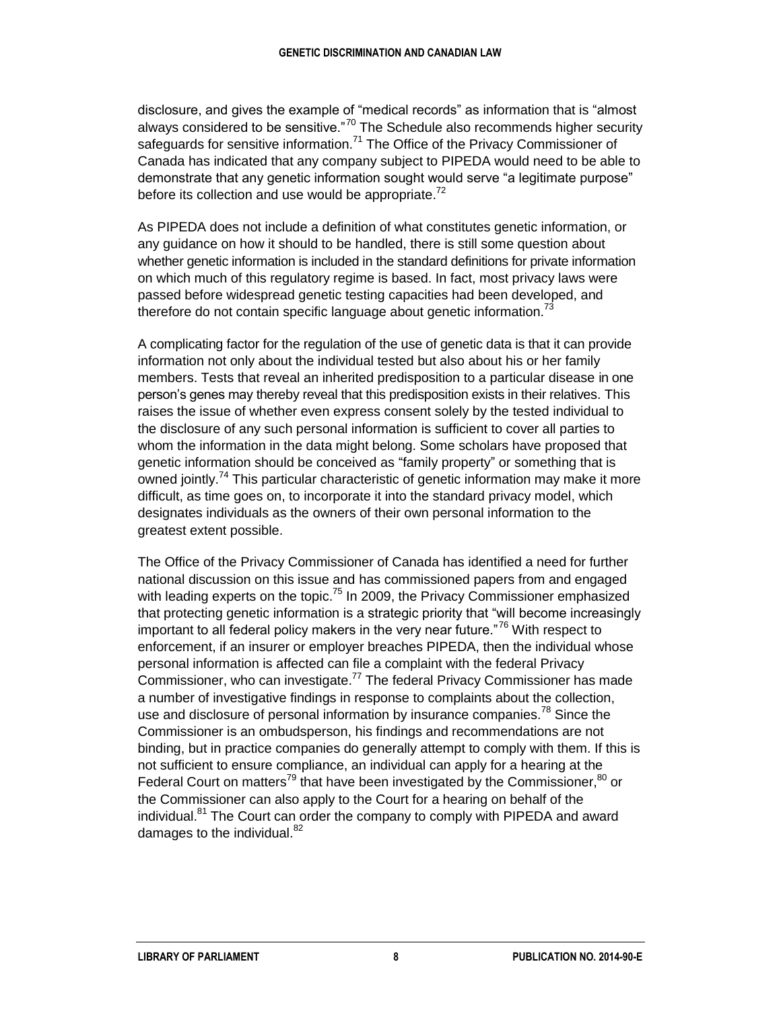disclosure, and gives the example of "medical records" as information that is "almost always considered to be sensitive."<sup>70</sup> The Schedule also recommends higher security safeguards for sensitive information.<sup>71</sup> The Office of the Privacy Commissioner of Canada has indicated that any company subject to PIPEDA would need to be able to demonstrate that any genetic information sought would serve "a legitimate purpose" before its collection and use would be appropriate.<sup>72</sup>

As PIPEDA does not include a definition of what constitutes genetic information, or any guidance on how it should to be handled, there is still some question about whether genetic information is included in the standard definitions for private information on which much of this regulatory regime is based. In fact, most privacy laws were passed before widespread genetic testing capacities had been developed, and therefore do not contain specific language about genetic information.<sup>73</sup>

A complicating factor for the regulation of the use of genetic data is that it can provide information not only about the individual tested but also about his or her family members. Tests that reveal an inherited predisposition to a particular disease in one person's genes may thereby reveal that this predisposition exists in their relatives. This raises the issue of whether even express consent solely by the tested individual to the disclosure of any such personal information is sufficient to cover all parties to whom the information in the data might belong. Some scholars have proposed that genetic information should be conceived as "family property" or something that is owned jointly.<sup>74</sup> This particular characteristic of genetic information may make it more difficult, as time goes on, to incorporate it into the standard privacy model, which designates individuals as the owners of their own personal information to the greatest extent possible.

The Office of the Privacy Commissioner of Canada has identified a need for further national discussion on this issue and has commissioned papers from and engaged with leading experts on the topic.<sup>75</sup> In 2009, the Privacy Commissioner emphasized that protecting genetic information is a strategic priority that "will become increasingly important to all federal policy makers in the very near future."<sup>76</sup> With respect to enforcement, if an insurer or employer breaches PIPEDA, then the individual whose personal information is affected can file a complaint with the federal Privacy Commissioner, who can investigate.<sup>77</sup> The federal Privacy Commissioner has made a number of investigative findings in response to complaints about the collection, use and disclosure of personal information by insurance companies.<sup>78</sup> Since the Commissioner is an ombudsperson, his findings and recommendations are not binding, but in practice companies do generally attempt to comply with them. If this is not sufficient to ensure compliance, an individual can apply for a hearing at the Federal Court on matters<sup>79</sup> that have been investigated by the Commissioner,  $80$  or the Commissioner can also apply to the Court for a hearing on behalf of the individual.<sup>81</sup> The Court can order the company to comply with PIPEDA and award damages to the individual. $82$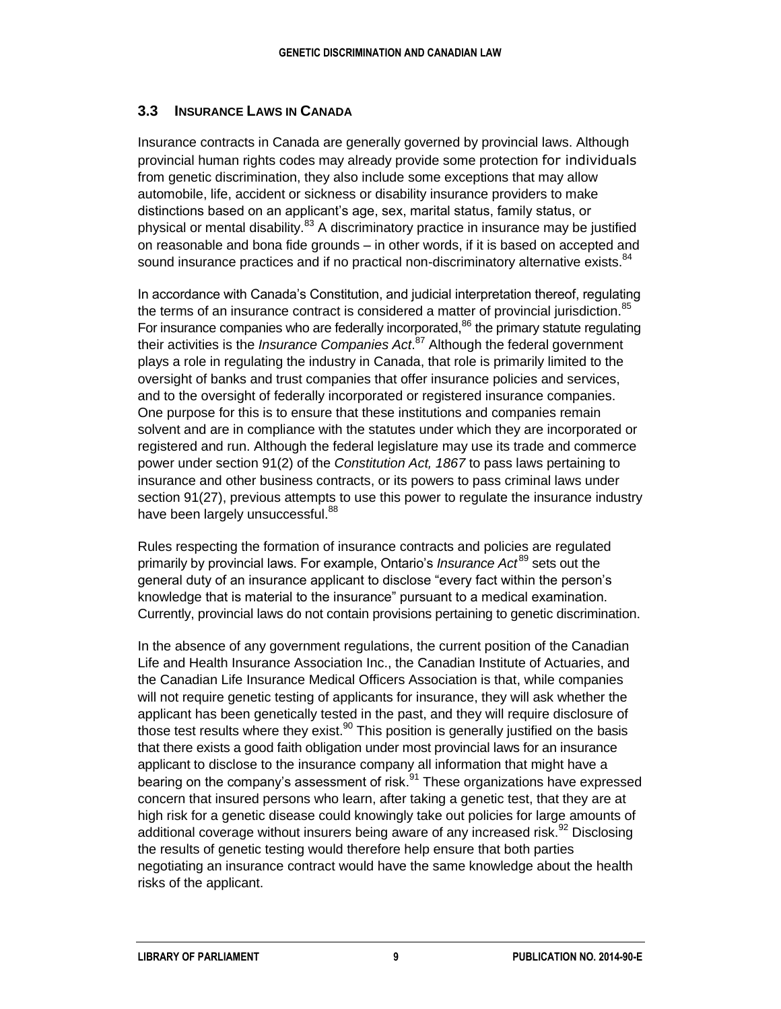#### **3.3 INSURANCE LAWS IN CANADA**

Insurance contracts in Canada are generally governed by provincial laws. Although provincial human rights codes may already provide some protection for individuals from genetic discrimination, they also include some exceptions that may allow automobile, life, accident or sickness or disability insurance providers to make distinctions based on an applicant's age, sex, marital status, family status, or physical or mental disability.<sup>83</sup> A discriminatory practice in insurance may be justified on reasonable and bona fide grounds – in other words, if it is based on accepted and sound insurance practices and if no practical non-discriminatory alternative exists.<sup>84</sup>

In accordance with Canada's Constitution, and judicial interpretation thereof, regulating the terms of an insurance contract is considered a matter of provincial jurisdiction.<sup>85</sup> For insurance companies who are federally incorporated, $86$  the primary statute regulating their activities is the *Insurance Companies Act*. <sup>87</sup> Although the federal government plays a role in regulating the industry in Canada, that role is primarily limited to the oversight of banks and trust companies that offer insurance policies and services, and to the oversight of federally incorporated or registered insurance companies. One purpose for this is to ensure that these institutions and companies remain solvent and are in compliance with the statutes under which they are incorporated or registered and run. Although the federal legislature may use its trade and commerce power under section 91(2) of the *Constitution Act, 1867* to pass laws pertaining to insurance and other business contracts, or its powers to pass criminal laws under section 91(27), previous attempts to use this power to regulate the insurance industry have been largely unsuccessful.<sup>88</sup>

Rules respecting the formation of insurance contracts and policies are regulated primarily by provincial laws. For example, Ontario's *Insurance Act* <sup>89</sup> sets out the general duty of an insurance applicant to disclose "every fact within the person's knowledge that is material to the insurance" pursuant to a medical examination. Currently, provincial laws do not contain provisions pertaining to genetic discrimination.

In the absence of any government regulations, the current position of the Canadian Life and Health Insurance Association Inc., the Canadian Institute of Actuaries, and the Canadian Life Insurance Medical Officers Association is that, while companies will not require genetic testing of applicants for insurance, they will ask whether the applicant has been genetically tested in the past, and they will require disclosure of those test results where they exist.<sup>90</sup> This position is generally justified on the basis that there exists a good faith obligation under most provincial laws for an insurance applicant to disclose to the insurance company all information that might have a bearing on the company's assessment of risk.<sup>91</sup> These organizations have expressed concern that insured persons who learn, after taking a genetic test, that they are at high risk for a genetic disease could knowingly take out policies for large amounts of additional coverage without insurers being aware of any increased risk.<sup>92</sup> Disclosing the results of genetic testing would therefore help ensure that both parties negotiating an insurance contract would have the same knowledge about the health risks of the applicant.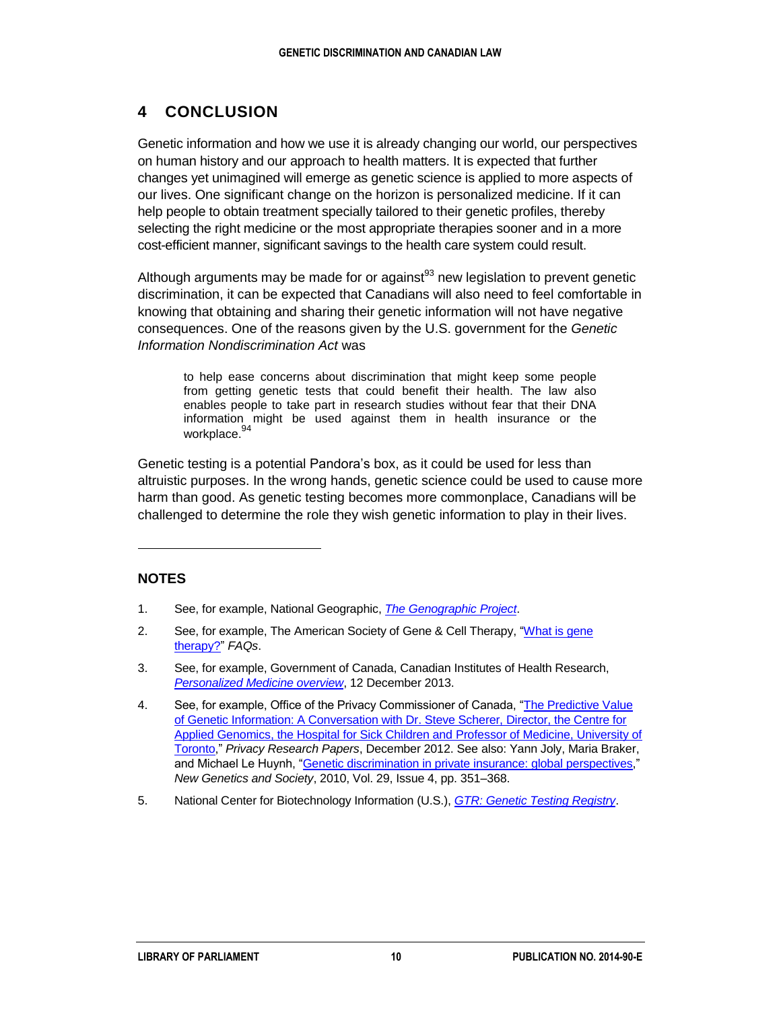### **4 CONCLUSION**

Genetic information and how we use it is already changing our world, our perspectives on human history and our approach to health matters. It is expected that further changes yet unimagined will emerge as genetic science is applied to more aspects of our lives. One significant change on the horizon is personalized medicine. If it can help people to obtain treatment specially tailored to their genetic profiles, thereby selecting the right medicine or the most appropriate therapies sooner and in a more cost-efficient manner, significant savings to the health care system could result.

Although arguments may be made for or against $93$  new legislation to prevent genetic discrimination, it can be expected that Canadians will also need to feel comfortable in knowing that obtaining and sharing their genetic information will not have negative consequences. One of the reasons given by the U.S. government for the *Genetic Information Nondiscrimination Act* was

to help ease concerns about discrimination that might keep some people from getting genetic tests that could benefit their health. The law also enables people to take part in research studies without fear that their DNA information might be used against them in health insurance or the workplace. 94

Genetic testing is a potential Pandora's box, as it could be used for less than altruistic purposes. In the wrong hands, genetic science could be used to cause more harm than good. As genetic testing becomes more commonplace, Canadians will be challenged to determine the role they wish genetic information to play in their lives.

#### **NOTES**

 $\overline{a}$ 

- 1. See, for example, National Geographic, *[The Genographic Project](https://genographic.nationalgeographic.com/about/)*.
- 2. See, for example, The American Society of Gene & Cell Therapy, "What is gene [therapy?"](http://www.asgct.org/general-public/educational-resources/faqs#faq3) *FAQs*.
- 3. See, for example, Government of Canada, Canadian Institutes of Health Research, *[Personalized Medicine overview](http://www.cihr-irsc.gc.ca/e/43707.html)*, 12 December 2013.
- 4. See, for example, Office of the Privacy Commissioner of Canada, ["The Predictive Value](http://www.priv.gc.ca/information/pub/gi_qa_e.asp)  [of Genetic Information: A Conversation with Dr. Steve Scherer, Director, the Centre for](http://www.priv.gc.ca/information/pub/gi_qa_e.asp)  [Applied Genomics, the Hospital for Sick Children and Professor of Medicine, University of](http://www.priv.gc.ca/information/pub/gi_qa_e.asp)  [Toronto,](http://www.priv.gc.ca/information/pub/gi_qa_e.asp)" *Privacy Research Papers*, December 2012. See also: Yann Joly, Maria Braker, and Michael Le Huynh, ["Genetic discrimination in private insurance: global](http://www.tandfonline.com/doi/abs/10.1080/14636778.2010.528189#.VBYzrPldW7w) perspectives," *New Genetics and Society*, 2010, Vol. 29, Issue 4, pp. 351–368.
- 5. National Center for Biotechnology Information (U.S.), *[GTR: Genetic Testing Registry](http://www.ncbi.nlm.nih.gov/gtr/)*.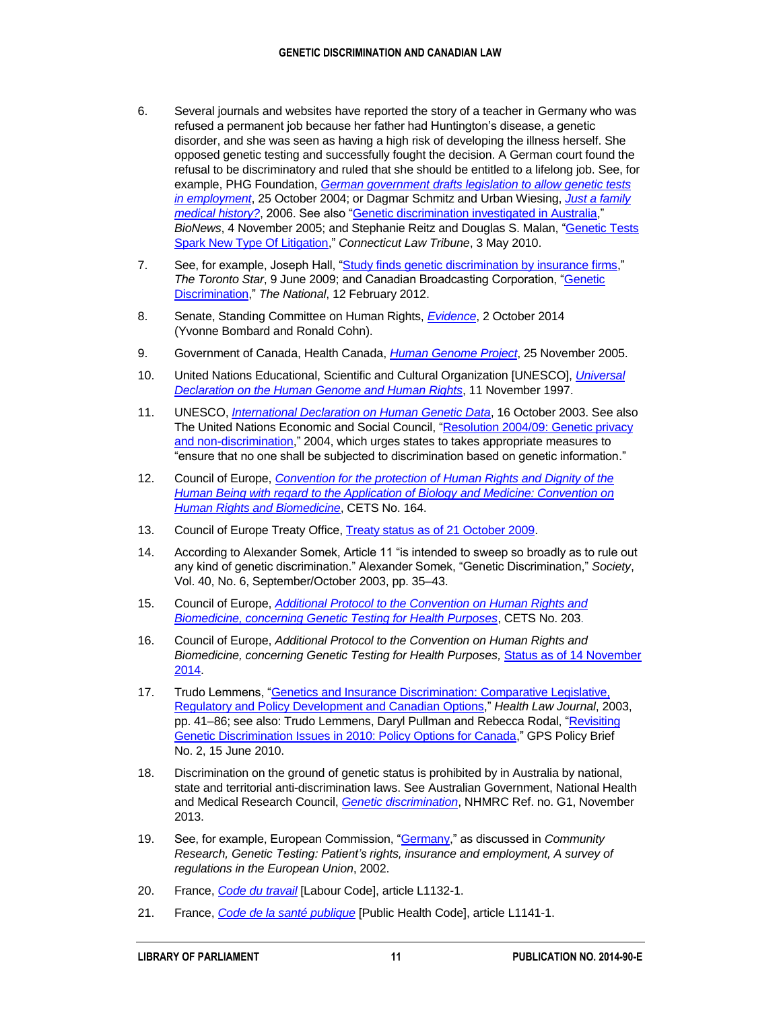- 6. Several journals and websites have reported the story of a teacher in Germany who was refused a permanent job because her father had Huntington's disease, a genetic disorder, and she was seen as having a high risk of developing the illness herself. She opposed genetic testing and successfully fought the decision. A German court found the refusal to be discriminatory and ruled that she should be entitled to a lifelong job. See, for example, PHG Foundation, *[German government drafts legislation to](http://www.phgfoundation.org/news/1418/) allow genetic tests [in employment](http://www.phgfoundation.org/news/1418/)*, 25 October 2004; or Dagmar Schmitz and Urban Wiesing, *[Just a family](http://www.ncbi.nlm.nih.gov/pmc/articles/PMC1360409/)  [medical history?](http://www.ncbi.nlm.nih.gov/pmc/articles/PMC1360409/)*, 2006. See also ["Genetic discrimination investigated in Australia,](http://www.bionews.org.uk/page_12559.asp)" *BioNews*, 4 November 2005; and Stephanie Reitz and Douglas S. Malan, ["Genetic Tests](http://www.ctlawtribune.com/id=1202557005219/Genetic-Tests-Spark-New-Type-Of-Litigation?slreturn=20140814203414)  [Spark New Type Of Litigation,](http://www.ctlawtribune.com/id=1202557005219/Genetic-Tests-Spark-New-Type-Of-Litigation?slreturn=20140814203414)" *Connecticut Law Tribune*, 3 May 2010.
- 7. See, for example, Joseph Hall, ["Study finds genetic discrimination by insurance firms,](http://www.thestar.com/life/health_wellness/2009/06/09/study_finds_genetic_discrimination_by_insurance_firms.html)" *The Toronto Star*, 9 June 2009; and Canadian Broadcasting Corporation, ["Genetic](http://www.cbc.ca/player/Shows/ID/2196090811/)  [Discrimination,](http://www.cbc.ca/player/Shows/ID/2196090811/)" *The National*, 12 February 2012.
- 8. Senate, Standing Committee on Human Rights, *[Evidence](http://www.parl.gc.ca/Content/SEN/Committee/412/ridr/11ev-51620-e.htm?Language=E&Parl=41&Ses=2&comm_id=77)*, 2 October 2014 (Yvonne Bombard and Ronald Cohn).
- 9. Government of Canada, Health Canada, *[Human Genome Project](http://www.hc-sc.gc.ca/sr-sr/biotech/about-apropos/genome-eng.php)*, 25 November 2005.
- 10. United Nations Educational, Scientific and Cultural Organization [UNESCO], *[Universal](http://www.ohchr.org/EN/ProfessionalInterest/Pages/HumanGenomeAndHumanRights.aspx)  [Declaration on the Human Genome and Human Rights](http://www.ohchr.org/EN/ProfessionalInterest/Pages/HumanGenomeAndHumanRights.aspx)*, 11 November 1997.
- 11. UNESCO, *[International Declaration on Human Genetic Data](http://www.unesco.org/new/en/social-and-human-sciences/themes/bioethics/human-genetic-data/)*, 16 October 2003. See also The United Nations Economic and Social Council, ["Resolution 2004/09:](http://www.un.org/en/ecosoc/docs/2004/resolution%202004-9.pdf) Genetic privacy [and non-discrimination,](http://www.un.org/en/ecosoc/docs/2004/resolution%202004-9.pdf)" 2004, which urges states to takes appropriate measures to "ensure that no one shall be subjected to discrimination based on genetic information."
- 12. Council of Europe, *[Convention for the protection of Human Rights and Dignity of the](http://conventions.coe.int/Treaty/Commun/QueVoulezVous.asp?NT=164&CL=ENG)  [Human Being with regard to the Application of Biology and Medicine: Convention on](http://conventions.coe.int/Treaty/Commun/QueVoulezVous.asp?NT=164&CL=ENG)  [Human Rights and Biomedicine](http://conventions.coe.int/Treaty/Commun/QueVoulezVous.asp?NT=164&CL=ENG)*, CETS No. 164.
- 13. Council of Europe Treaty Office, [Treaty status as of 21 October 2009.](http://conventions.coe.int/Treaty/Commun/ChercheSig.asp?NT=164&CM=8&DF=21/10/2009&CL=ENG)
- 14. According to Alexander Somek, Article 11 "is intended to sweep so broadly as to rule out any kind of genetic discrimination." Alexander Somek, "Genetic Discrimination," *Society*, Vol. 40, No. 6, September/October 2003, pp. 35–43.
- 15. Council of Europe, *[Additional Protocol to the Convention on Human Rights and](http://conventions.coe.int/Treaty/en/Treaties/Html/203.htm)  [Biomedicine, concerning Genetic Testing for Health Purposes](http://conventions.coe.int/Treaty/en/Treaties/Html/203.htm)*, CETS No. 203.
- 16. Council of Europe, *Additional Protocol to the Convention on Human Rights and Biomedicine, concerning Genetic Testing for Health Purposes,* [Status as of 14](http://conventions.coe.int/Treaty/Commun/ChercheSig.asp?NT=203&CM=1&DF=&CL=ENG) November [2014.](http://conventions.coe.int/Treaty/Commun/ChercheSig.asp?NT=203&CM=1&DF=&CL=ENG)
- 17. Trudo Lemmens, "Genetics [and Insurance Discrimination: Comparative Legislative,](http://papers.ssrn.com/sol3/papers.cfm?abstract_id=495404)  [Regulatory and Policy Development and Canadian Options,](http://papers.ssrn.com/sol3/papers.cfm?abstract_id=495404)" *Health Law Journal*, 2003, pp. 41–86; see also: Trudo Lemmens, Daryl Pullman and Rebecca Rodal, ["Revisiting](http://ssrn.com/abstract=1722368)  [Genetic Discrimination Issues in 2010: Policy Options for Canada,](http://ssrn.com/abstract=1722368)" GPS Policy Brief No. 2, 15 June 2010.
- 18. Discrimination on the ground of genetic status is prohibited by in Australia by national, state and territorial anti-discrimination laws. See Australian Government, National Health and Medical Research Council, *[Genetic discrimination](https://www.nhmrc.gov.au/your-health/genetics-and-human-health/ethical-legal-and-social-issues/genetic-discrimination)*, NHMRC Ref. no. G1, November 2013.
- 19. See, for example, European Commission, ["Germany,](http://ec.europa.eu/research/biosociety/pdf/genetic_testing_eur20446.pdf)" as discussed in *Community Research, Genetic Testing: Patient's rights, insurance and employment, A survey of regulations in the European Union*, 2002.
- 20. France, *[Code du travail](http://www.legifrance.gouv.fr/affichCode.do;jsessionid=232CA79316ECDA81E661475BBA82CABA.tpdjo13v_1?cidTexte=LEGITEXT000006072050&dateTexte=20091008)* [Labour Code], article L1132-1.
- 21. France, *[Code de la santé publique](http://www.legifrance.gouv.fr/affichCode.do;jsessionid=02D9CD7004AE878D8531973B153C2F31.tpdjo13v_1?cidTexte=LEGITEXT000006072665&dateTexte=20091022)* [\[Public Health Code\],](http://www.legifrance.gouv.fr/affichCode.do?idArticle=LEGIARTI000006685984&%20idSectionTA=LEGISCTA000006185309&cidTexte=LEGITEXT000006072665&dateTexte=20091022) article L1141-1.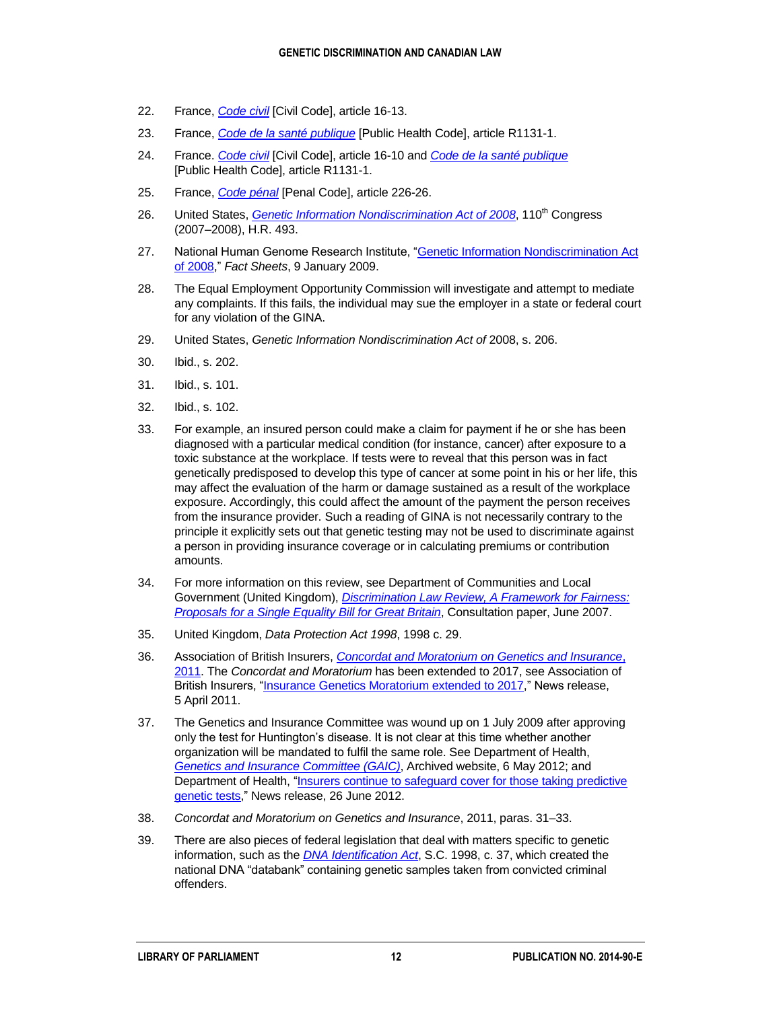- 22. France, *[Code civil](http://www.legifrance.gouv.fr/affichCode.do?idSectionTA=LEGISCTA000006136513&cidTexte=LEGITEXT000006070721&dateTexte=20140918)* [\[Civil Code\],](http://195.83.177.9/code/liste.phtml?lang=uk&c=22&r=214) article 16-13.
- 23. France, *[Code de la santé publique](http://www.legifrance.gouv.fr/affichCode.do;jsessionid=02D9CD7004AE878D8531973B153C2F31.tpdjo13v_1?cidTexte=LEGITEXT000006072665&dateTexte=20091022)* [\[Public Health Code\],](http://www.legifrance.gouv.fr/affichCode.do?idArticle=LEGIARTI000006685984&%20idSectionTA=LEGISCTA000006185309&cidTexte=LEGITEXT000006072665&dateTexte=20091022) article R1131-1.
- 24. France. *[Code civil](http://www.legifrance.gouv.fr/affichCode.do?idSectionTA=LEGISCTA000006136513&cidTexte=LEGITEXT000006070721&dateTexte=20140918)* [\[Civil Code\],](http://195.83.177.9/code/liste.phtml?lang=uk&c=22&r=214) article 16-10 and *[Code de la santé publique](http://www.legifrance.gouv.fr/affichCode.do;jsessionid=02D9CD7004AE878D8531973B153C2F31.tpdjo13v_1?cidTexte=LEGITEXT000006072665&dateTexte=20091022)* [\[Public Health Code\]](http://www.legifrance.gouv.fr/affichCode.do?idArticle=LEGIARTI000006685984&%20idSectionTA=LEGISCTA000006185309&cidTexte=LEGITEXT000006072665&dateTexte=20091022), article R1131-1.
- 25. France, *[Code pénal](http://www.legifrance.gouv.fr/affichCode.do;jsessionid=2E2BCD58C9370072EE2355E82E421AB8.tpdjo12v_2?idSectionTA=LEGISCTA000006165397&cidTexte=LEGITEXT000006070719&dateTexte=20140918)* [\[Penal Code\]](http://www.legifrance.gouv.fr/Traductions), article 226-26.
- 26. United States, *[Genetic Information Nondiscrimination Act of 2008](http://thomas.loc.gov/cgi-bin/bdquery/z?d110:H.R.493:)*, 110<sup>th</sup> Congress (2007–2008), H.R. 493.
- 27. National Human Genome Research Institute, ["Genetic Information Nondiscrimination Act](http://www.genome.gov/10002328)  [of 2008,](http://www.genome.gov/10002328)" *Fact Sheets*, 9 January 2009.
- 28. The Equal Employment Opportunity Commission will investigate and attempt to mediate any complaints. If this fails, the individual may sue the employer in a state or federal court for any violation of the GINA.
- 29. United States, *Genetic Information Nondiscrimination Act of* 2008, s. 206.
- 30. Ibid., s. 202.
- 31. Ibid., s. 101.
- 32. Ibid., s. 102.
- 33. For example, an insured person could make a claim for payment if he or she has been diagnosed with a particular medical condition (for instance, cancer) after exposure to a toxic substance at the workplace. If tests were to reveal that this person was in fact genetically predisposed to develop this type of cancer at some point in his or her life, this may affect the evaluation of the harm or damage sustained as a result of the workplace exposure. Accordingly, this could affect the amount of the payment the person receives from the insurance provider. Such a reading of GINA is not necessarily contrary to the principle it explicitly sets out that genetic testing may not be used to discriminate against a person in providing insurance coverage or in calculating premiums or contribution amounts.
- 34. For more information on this review, see Department of Communities and Local Government (United Kingdom), *[Discrimination Law Review, A Framework for Fairness:](http://webarchive.nationalarchives.gov.uk/20120919132719/www.communities.gov.uk/documents/corporate/pdf/325332.pdf)  [Proposals for a Single Equality Bill for Great Britain](http://webarchive.nationalarchives.gov.uk/20120919132719/www.communities.gov.uk/documents/corporate/pdf/325332.pdf)*, Consultation paper, June 2007.
- 35. United Kingdom, *Data Protection Act 1998*, 1998 c. 29.
- 36. Association of British Insurers, *[Concordat and Moratorium on Genetics and Insurance](https://www.gov.uk/government/uploads/system/uploads/attachment_data/file/216821/Concordat-and-Moratorium-on-Genetics-and-Insurance-20111.pdf)*, [2011.](https://www.gov.uk/government/uploads/system/uploads/attachment_data/file/216821/Concordat-and-Moratorium-on-Genetics-and-Insurance-20111.pdf) The *Concordat and Moratorium* has been extended to 2017, see Association of British Insurers, ["Insurance Genetics Moratorium extended to 2017,](http://www.abi.org.uk/Media/Releases/2011/04/Insurance_Genetics_Moratorium_extended_to_2017.aspx)" News release, 5 April 2011.
- 37. The Genetics and Insurance Committee was wound up on 1 July 2009 after approving only the test for Huntington's disease. It is not clear at this time whether another organization will be mandated to fulfil the same role. See Department of Health, *[Genetics and Insurance Committee \(GAIC\)](http://webarchive.nationalarchives.gov.uk/+/www.dh.gov.uk/ab/Archive/GAIC/index.htm)*, Archived website, 6 May 2012; and Department of Health, "Insurers continue to safeguard cover for those taking predictive [genetic tests,](http://mediacentre.dh.gov.uk/2012/06/26/insurers-continue-to-safeguard-cover-for-those-taking-predictive-genetic-tests/)" News release, 26 June 2012.
- 38. *Concordat and Moratorium on Genetics and Insurance*, 2011, paras. 31–33.
- 39. There are also pieces of federal legislation that deal with matters specific to genetic information, such as the *DNA [Identification Act](http://lois-laws.justice.gc.ca/eng/acts/D-3.8/index.html)*, S.C. 1998, c. 37, which created the national DNA "databank" containing genetic samples taken from convicted criminal offenders.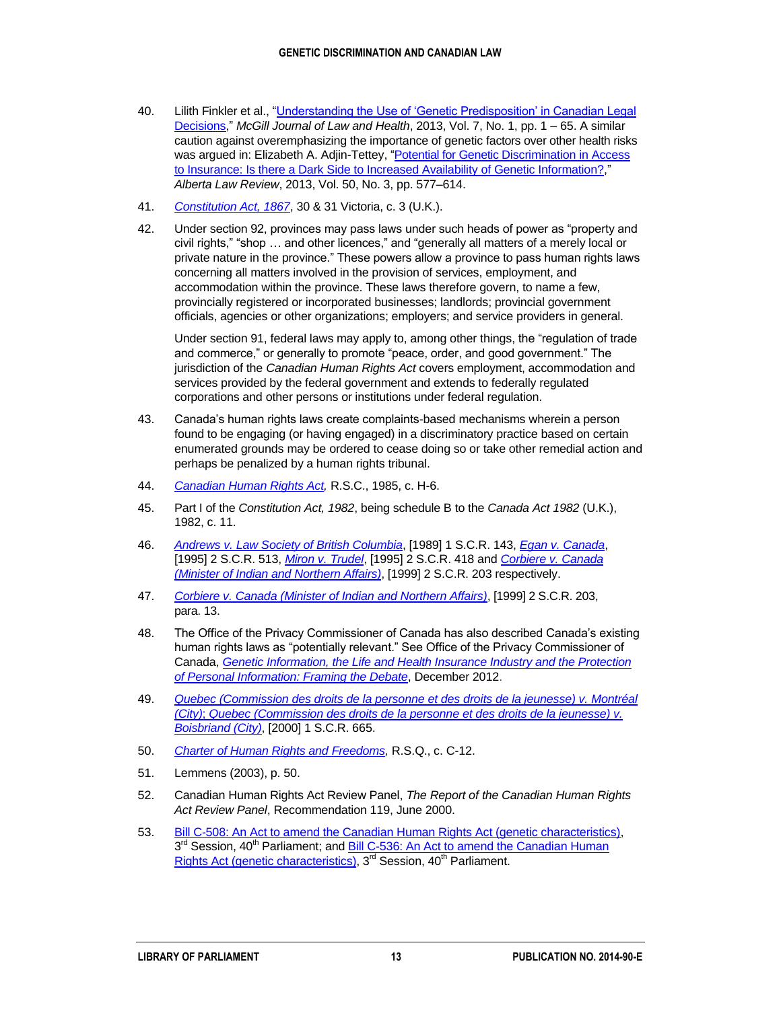- 40. Lilith Finkler et al., ["Understanding the Use of 'Genetic Predisposition' in Canadian Legal](http://papers.ssrn.com/sol3/papers.cfm?abstract_id=2457019)  [Decisions,](http://papers.ssrn.com/sol3/papers.cfm?abstract_id=2457019)" *McGill Journal of Law and Health*, 2013, Vol. 7, No. 1, pp. 1 – 65. A similar caution against overemphasizing the importance of genetic factors over other health risks was argued in: Elizabeth A. Adjin-Tettey, ["Potential for Genetic Discrimination in Access](http://papers.ssrn.com/sol3/papers.cfm?abstract_id=2354101)  [to Insurance: Is there a Dark Side to Increased Availability of Genetic Information?,](http://papers.ssrn.com/sol3/papers.cfm?abstract_id=2354101)" *Alberta Law Review*, 2013, Vol. 50, No. 3, pp. 577–614.
- 41. *[Constitution Act, 1867](http://laws-lois.justice.gc.ca/eng/Const/page-1.html)*, 30 & 31 Victoria, c. 3 (U.K.).
- 42. Under section 92, provinces may pass laws under such heads of power as "property and civil rights," "shop … and other licences," and "generally all matters of a merely local or private nature in the province." These powers allow a province to pass human rights laws concerning all matters involved in the provision of services, employment, and accommodation within the province. These laws therefore govern, to name a few, provincially registered or incorporated businesses; landlords; provincial government officials, agencies or other organizations; employers; and service providers in general.

Under section 91, federal laws may apply to, among other things, the "regulation of trade and commerce," or generally to promote "peace, order, and good government." The jurisdiction of the *Canadian Human Rights Act* covers employment, accommodation and services provided by the federal government and extends to federally regulated corporations and other persons or institutions under federal regulation.

- 43. Canada's human rights laws create complaints-based mechanisms wherein a person found to be engaging (or having engaged) in a discriminatory practice based on certain enumerated grounds may be ordered to cease doing so or take other remedial action and perhaps be penalized by a human rights tribunal.
- 44. *[Canadian Human Rights Act,](http://laws-lois.justice.gc.ca/eng/acts/h-6/)* R.S.C., 1985, c. H-6.
- 45. Part I of the *Constitution Act, 1982*, being schedule B to the *Canada Act 1982* (U.K.), 1982, c. 11.
- 46. *[Andrews v. Law Society of British Columbia](http://scc-csc.lexum.com/scc-csc/scc-csc/en/item/407/index.do)*, [1989] 1 S.C.R. 143, *[Egan v. Canada](http://scc-csc.lexum.com/scc-csc/scc-csc/en/item/1265/index.do)*, [1995] 2 S.C.R. 513, *[Miron v. Trudel](http://scc-csc.lexum.com/scc-csc/scc-csc/en/item/1264/index.do)*, [\[1995\] 2 S.C.R. 418](http://scc.lexum.org/decisia-scc-csc/scc-csc/scc-csc/en/item/1264/index.do) and *Corbiere [v. Canada](http://scc-csc.lexum.com/scc-csc/scc-csc/en/item/1704/index.do)  [\(Minister of Indian and Northern Affairs\)](http://scc-csc.lexum.com/scc-csc/scc-csc/en/item/1704/index.do)*, [\[1999\] 2 S.C.R. 203](http://scc.lexum.org/decisia-scc-csc/scc-csc/scc-csc/en/item/1704/index.do) respectively.
- 47. *[Corbiere v. Canada \(Minister of Indian and Northern Affairs\)](http://scc-csc.lexum.com/scc-csc/scc-csc/en/item/1704/index.do)*, [1999] 2 S.C.R. 203, para. 13.
- 48. The Office of the Privacy Commissioner of Canada has also described Canada's existing human rights laws as "potentially relevant." See Office of the Privacy Commissioner of Canada, *[Genetic Information, the Life and Health Insurance Industry and the Protection](http://www.priv.gc.ca/information/pub/gi_intro_e.asp)  [of Personal Information: Framing the Debate](http://www.priv.gc.ca/information/pub/gi_intro_e.asp)*, December 2012.
- 49. *Quebec [\(Commission des droits de la personne et des droits de la jeunesse\) v. Montréal](http://scc-csc.lexum.com/scc-csc/scc-csc/en/item/1789/index.do)  (City)*; *[Quebec \(Commission des droits de la personne et des droits de la jeunesse\) v.](http://scc-csc.lexum.com/scc-csc/scc-csc/en/item/1789/index.do)  [Boisbriand \(City\)](http://scc-csc.lexum.com/scc-csc/scc-csc/en/item/1789/index.do)*, [2000] 1 S.C.R. 665.
- 50. *[Charter of Human Rights and Freedoms,](http://www2.publicationsduquebec.gouv.qc.ca/dynamicSearch/telecharge.php?type=2&file=/C_12/C12_A.HTM)* R.S.Q., c. C-12.
- 51. Lemmens (2003), p. 50.
- 52. Canadian Human Rights Act Review Panel, *The Report of the Canadian Human Rights Act Review Panel*, Recommendation 119, June 2000.
- 53. [Bill C-508: An Act to amend the Canadian Human Rights Act \(genetic characteristics\),](http://www.parl.gc.ca/LegisInfo/BillDetails.aspx?Language=E&Mode=1&billId=4324610) 3<sup>rd</sup> Session, 40<sup>th</sup> Parliament; and **Bill C-536: An Act to amend the Canadian Human** [Rights Act \(genetic characteristics\),](http://www.parl.gc.ca/LegisInfo/BillDetails.aspx?Language=E&Mode=1&billId=4546288)  $3<sup>rd</sup>$  Session,  $40<sup>th</sup>$  Parliament.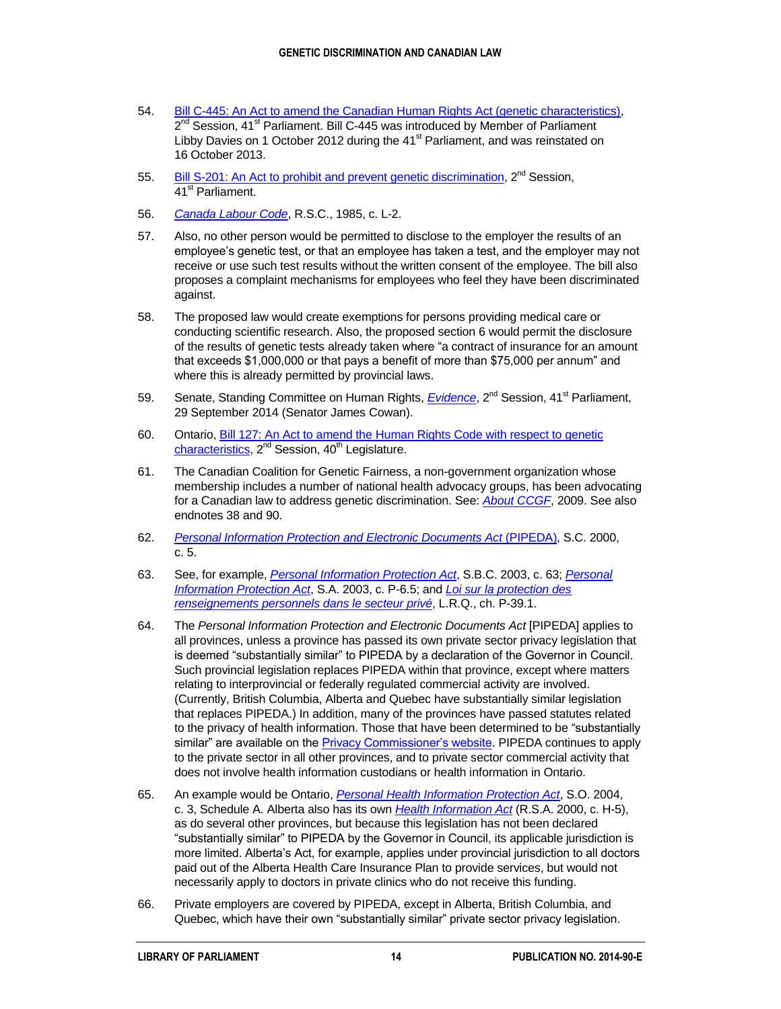- 54. [Bill C-445: An Act to amend the Canadian Human Rights Act \(genetic characteristics\),](http://www.parl.gc.ca/LegisInfo/BillDetails.aspx?Language=E&Mode=1&billId=6253929) 2<sup>nd</sup> Session, 41<sup>st</sup> Parliament. Bill C-445 was introduced by Member of Parliament Libby Davies on 1 October 2012 during the 41<sup>st</sup> Parliament, and was reinstated on 16 October 2013.
- 55. [Bill S-201: An Act to prohibit and prevent genetic discrimination,](http://www.parl.gc.ca/LEGISInfo/BillDetails.aspx?Language=E&Mode=1&billId=6257110) 2<sup>nd</sup> Session, 41<sup>st</sup> Parliament.
- 56. *[Canada Labour Code](http://laws-lois.justice.gc.ca/eng/acts/L-2/index.html)*, R.S.C., 1985, c. L-2.
- 57. Also, no other person would be permitted to disclose to the employer the results of an employee's genetic test, or that an employee has taken a test, and the employer may not receive or use such test results without the written consent of the employee. The bill also proposes a complaint mechanisms for employees who feel they have been discriminated against.
- 58. The proposed law would create exemptions for persons providing medical care or conducting scientific research. Also, the proposed section 6 would permit the disclosure of the results of genetic tests already taken where "a contract of insurance for an amount that exceeds \$1,000,000 or that pays a benefit of more than \$75,000 per annum" and where this is already permitted by provincial laws.
- 59. Senate, Standing Committee on Human Rights, *[Evidence](http://www.parl.gc.ca/Content/SEN/Committee/412/ridr/51596-e.htm?Language=E&Parl=41&Ses=2&comm_id=77)*, 2<sup>nd</sup> Session, 41<sup>st</sup> Parliament, 29 September 2014 (Senator James Cowan).
- 60. Ontario, [Bill 127: An Act to amend the Human Rights Code with respect to genetic](http://pantone201.ca/WEBSKINS/MPP/PDF/201.PDF)  [characteristics,](http://pantone201.ca/WEBSKINS/MPP/PDF/201.PDF)  $2^{nd}$  Session,  $40^{th}$  Legislature.
- 61. The Canadian Coalition for Genetic Fairness, a non-government organization whose membership includes a number of national health advocacy groups, has been advocating for a Canadian law to address genetic discrimination. See: *[About CCGF](http://www.ccgf-cceg.ca/en/about-ccgf)*, 2009. See also endnotes 38 and 90.
- 62. *[Personal Information Protection and Electronic Documents Act](http://laws-lois.justice.gc.ca/eng/acts/p-8.6/)* (PIPEDA), S.C. 2000, c. 5.
- 63. See, for example, *[Personal Information Protection Act](http://www.bclaws.ca/civix/document/id/complete/statreg/03063_01)*, S.B.C. 2003, c. 63; *[Personal](http://www.qp.alberta.ca/1266.cfm?page=P06P5.cfm&leg_type=Acts&isbncln=9780779762507)  [Information Protection Act](http://www.qp.alberta.ca/1266.cfm?page=P06P5.cfm&leg_type=Acts&isbncln=9780779762507)*, S.A. 2003, c. P-6.5; and *[Loi sur la protection des](http://www2.publicationsduquebec.gouv.qc.ca/dynamicSearch/telecharge.php?type=2&file=/P_39_1/P39_1.html)  [renseignements personnels dans le secteur privé](http://www2.publicationsduquebec.gouv.qc.ca/dynamicSearch/telecharge.php?type=2&file=/P_39_1/P39_1.html)*, L.R.Q., ch. P-39.1.
- 64. The *Personal Information Protection and Electronic Documents Act* [PIPEDA] applies to all provinces, unless a province has passed its own private sector privacy legislation that is deemed "substantially similar" to PIPEDA by a declaration of the Governor in Council. Such provincial legislation replaces PIPEDA within that province, except where matters relating to interprovincial or federally regulated commercial activity are involved. (Currently, British Columbia, Alberta and Quebec have substantially similar legislation that replaces PIPEDA.) In addition, many of the provinces have passed statutes related to the privacy of health information. Those that have been determined to be "substantially similar" are available on th[e Privacy Commissioner's website.](http://www.priv.gc.ca/legislation/ss_index_e.cfm#contenttop) PIPEDA continues to apply to the private sector in all other provinces, and to private sector commercial activity that does not involve health information custodians or health information in Ontario.
- 65. An example would be Ontario, *[Personal Health Information Protection Act](http://www.e-laws.gov.on.ca/html/statutes/english/elaws_statutes_04p03_e.htm)*, S.O. 2004, c. 3, Schedule A. Alberta also has its own *[Health Information Act](https://www.assembly.ab.ca/HIAReview/Health_Information_Act.pdf)* (R.S.A. 2000, c. H-5), as do several other provinces, but because this legislation has not been declared "substantially similar" to PIPEDA by the Governor in Council, its applicable jurisdiction is more limited. Alberta's Act, for example, applies under provincial jurisdiction to all doctors paid out of the Alberta Health Care Insurance Plan to provide services, but would not necessarily apply to doctors in private clinics who do not receive this funding.
- 66. Private employers are covered by PIPEDA, except in Alberta, British Columbia, and Quebec, which have their own "substantially similar" private sector privacy legislation.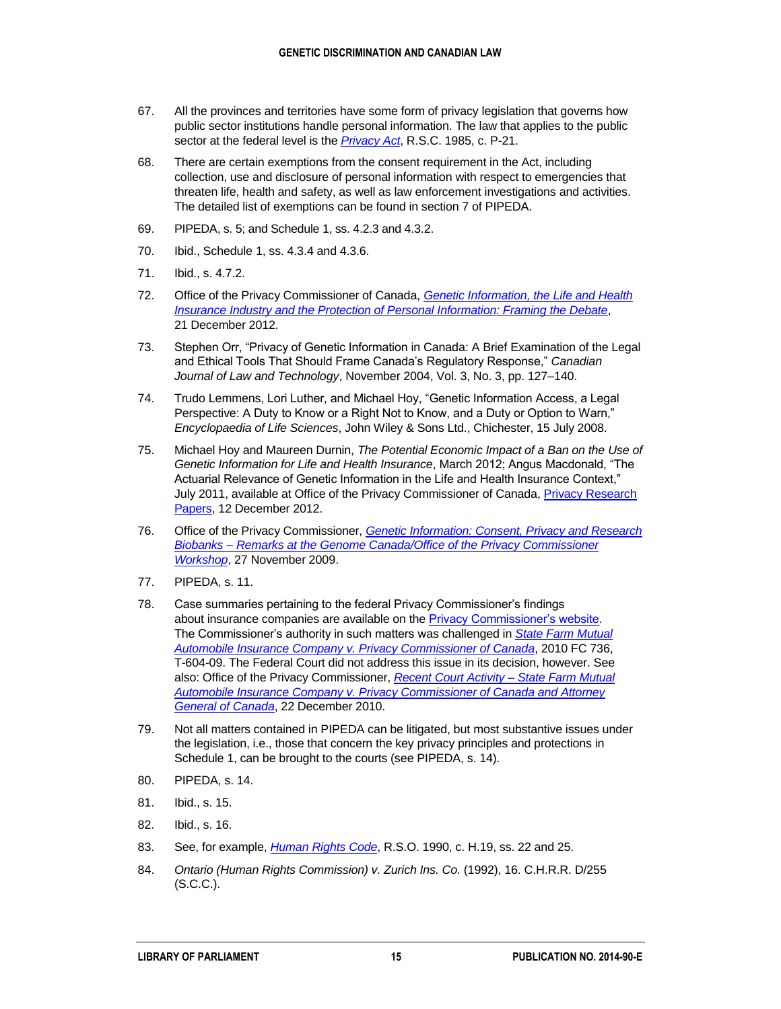- 67. All the provinces and territories have some form of privacy legislation that governs how public sector institutions handle personal information. The law that applies to the public sector at the federal level is the *[Privacy Act](http://laws.justice.gc.ca/eng/acts/P-21/)*, R.S.C. 1985, c. P-21.
- 68. There are certain exemptions from the consent requirement in the Act, including collection, use and disclosure of personal information with respect to emergencies that threaten life, health and safety, as well as law enforcement investigations and activities. The detailed list of exemptions can be found in section 7 of PIPEDA.
- 69. PIPEDA, s. 5; and Schedule 1, ss. 4.2.3 and 4.3.2.
- 70. Ibid., Schedule 1, ss. 4.3.4 and 4.3.6.
- 71. Ibid., s. 4.7.2.
- 72. Office of the Privacy Commissioner of Canada, *[Genetic Information, the Life and Health](http://www.priv.gc.ca/information/pub/gi_intro_e.asp)  [Insurance Industry and the Protection of Personal Information: Framing the Debate](http://www.priv.gc.ca/information/pub/gi_intro_e.asp)*, 21 December 2012.
- 73. Stephen Orr, "Privacy of Genetic Information in Canada: A Brief Examination of the Legal and Ethical Tools That Should Frame Canada's Regulatory Response," *Canadian Journal of Law and Technology*, November 2004, Vol. 3, No. 3, pp. 127–140.
- 74. Trudo Lemmens, Lori Luther, and Michael Hoy, "Genetic Information Access, a Legal Perspective: A Duty to Know or a Right Not to Know, and a Duty or Option to Warn," *Encyclopaedia of Life Sciences*, John Wiley & Sons Ltd., Chichester, 15 July 2008.
- 75. Michael Hoy and Maureen Durnin, *The Potential Economic Impact of a Ban on the Use of Genetic Information for Life and Health Insurance*, March 2012; Angus Macdonald, "The Actuarial Relevance of Genetic Information in the Life and Health Insurance Context," July 2011, available at Office of the Privacy Commissioner of Canada[, Privacy Research](https://www.priv.gc.ca/information/research-recherche/2012/gi_intro_e.asp#_ftniv)  [Papers,](https://www.priv.gc.ca/information/research-recherche/2012/gi_intro_e.asp#_ftniv) 12 December 2012.
- 76. Office of the Privacy Commissioner, *[Genetic Information: Consent, Privacy and Research](http://www.priv.gc.ca/media/sp-d/2009/sp-d_20091127_e.asp)  Biobanks – [Remarks at the Genome Canada/Office of the Privacy Commissioner](http://www.priv.gc.ca/media/sp-d/2009/sp-d_20091127_e.asp)  [Workshop](http://www.priv.gc.ca/media/sp-d/2009/sp-d_20091127_e.asp)*, 27 November 2009.
- 77. PIPEDA, s. 11.
- 78. Case summaries pertaining to the federal Privacy Commissioner's findings about insurance companies are available on the [Privacy Commissioner's website.](https://www.priv.gc.ca/cf-dc/index_e.asp) The Commissioner's authority in such matters was challenged in *[State Farm Mutual](http://decisions.fct-cf.gc.ca/fc-cf/decisions/en/item/58283/index.do)  [Automobile Insurance Company v. Privacy Commissioner of Canada](http://decisions.fct-cf.gc.ca/fc-cf/decisions/en/item/58283/index.do)*, 2010 FC 736, T-604-09. The Federal Court did not address this issue in its decision, however. See also: Office of the Privacy Commissioner, *[Recent Court Activity –](https://www.priv.gc.ca/leg_c/court_p_11_e.asp) State Farm Mutual [Automobile Insurance Company v. Privacy Commissioner of Canada and Attorney](https://www.priv.gc.ca/leg_c/court_p_11_e.asp)  [General of Canada](https://www.priv.gc.ca/leg_c/court_p_11_e.asp)*, 22 December 2010.
- 79. Not all matters contained in PIPEDA can be litigated, but most substantive issues under the legislation, i.e., those that concern the key privacy principles and protections in Schedule 1, can be brought to the courts (see PIPEDA, s. 14).
- 80. PIPEDA, s. 14.
- 81. Ibid., s. 15.
- 82. Ibid., s. 16.
- 83. See, for example, *[Human Rights Code](http://www.e-laws.gov.on.ca/html/statutes/english/elaws_statutes_90h19_e.htm#BK25)*, R.S.O. 1990, c. H.19, ss. 22 and 25.
- 84. *Ontario (Human Rights Commission) v. Zurich Ins. Co.* (1992), 16. C.H.R.R. D/255 (S.C.C.).